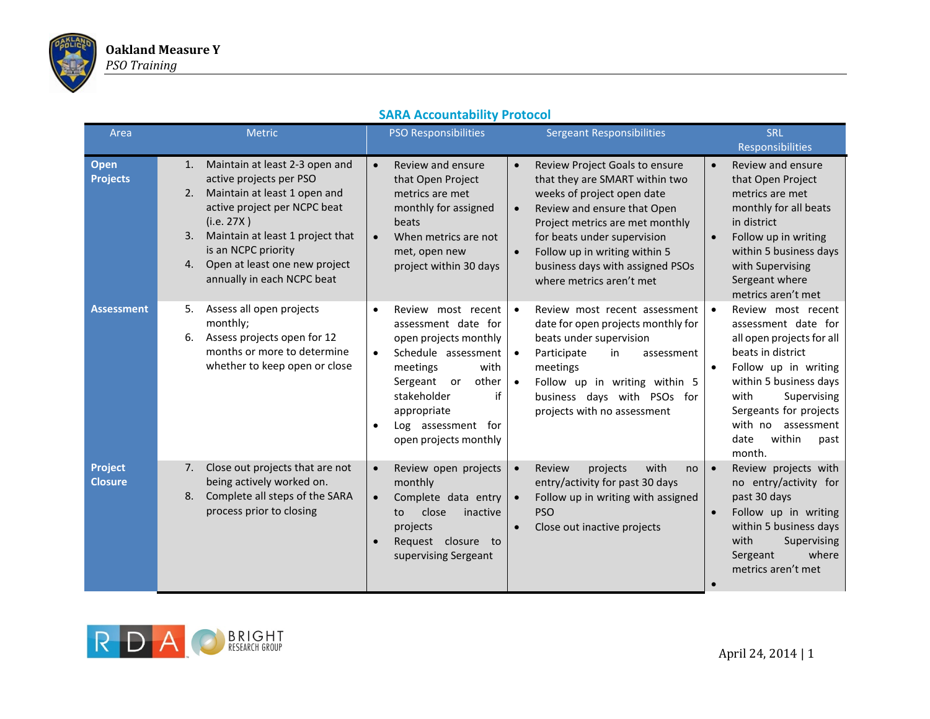

| Area                             | <b>Metric</b>                                                                                                                                                                                                                                                                             | <b>PSO Responsibilities</b>                                                                                                                                                                                                                                        | <b>Sergeant Responsibilities</b>                                                                                                                                                                                                                                                                                                        | <b>SRL</b>                                                                                                                                                                                                                                                                         |
|----------------------------------|-------------------------------------------------------------------------------------------------------------------------------------------------------------------------------------------------------------------------------------------------------------------------------------------|--------------------------------------------------------------------------------------------------------------------------------------------------------------------------------------------------------------------------------------------------------------------|-----------------------------------------------------------------------------------------------------------------------------------------------------------------------------------------------------------------------------------------------------------------------------------------------------------------------------------------|------------------------------------------------------------------------------------------------------------------------------------------------------------------------------------------------------------------------------------------------------------------------------------|
|                                  |                                                                                                                                                                                                                                                                                           |                                                                                                                                                                                                                                                                    |                                                                                                                                                                                                                                                                                                                                         | <b>Responsibilities</b>                                                                                                                                                                                                                                                            |
| <b>Open</b><br><b>Projects</b>   | Maintain at least 2-3 open and<br>1.<br>active projects per PSO<br>Maintain at least 1 open and<br>2.<br>active project per NCPC beat<br>(i.e. 27X)<br>Maintain at least 1 project that<br>3.<br>is an NCPC priority<br>Open at least one new project<br>4.<br>annually in each NCPC beat | Review and ensure<br>$\bullet$<br>that Open Project<br>metrics are met<br>monthly for assigned<br>beats<br>When metrics are not<br>$\bullet$<br>met, open new<br>project within 30 days                                                                            | Review Project Goals to ensure<br>$\bullet$<br>that they are SMART within two<br>weeks of project open date<br>Review and ensure that Open<br>$\bullet$<br>Project metrics are met monthly<br>for beats under supervision<br>Follow up in writing within 5<br>$\bullet$<br>business days with assigned PSOs<br>where metrics aren't met | Review and ensure<br>$\bullet$<br>that Open Project<br>metrics are met<br>monthly for all beats<br>in district<br>Follow up in writing<br>$\bullet$<br>within 5 business days<br>with Supervising<br>Sergeant where<br>metrics aren't met                                          |
| <b>Assessment</b>                | Assess all open projects<br>5.<br>monthly;<br>Assess projects open for 12<br>6.<br>months or more to determine<br>whether to keep open or close                                                                                                                                           | Review most recent<br>$\bullet$<br>assessment date for<br>open projects monthly<br>Schedule assessment<br>$\bullet$<br>meetings<br>with<br>other<br>Sergeant<br>or<br>if<br>stakeholder<br>appropriate<br>Log assessment for<br>$\bullet$<br>open projects monthly | Review most recent assessment<br>$\bullet$<br>date for open projects monthly for<br>beats under supervision<br>Participate<br>in<br>assessment<br>$\bullet$<br>meetings<br>Follow up in writing within 5<br>business days with PSOs for<br>projects with no assessment                                                                  | Review most recent<br>$\bullet$<br>assessment date for<br>all open projects for all<br>beats in district<br>Follow up in writing<br>$\bullet$<br>within 5 business days<br>with<br>Supervising<br>Sergeants for projects<br>with no assessment<br>date<br>within<br>past<br>month. |
| <b>Project</b><br><b>Closure</b> | Close out projects that are not<br>7.<br>being actively worked on.<br>Complete all steps of the SARA<br>8.<br>process prior to closing                                                                                                                                                    | Review open projects<br>$\bullet$<br>monthly<br>Complete data entry<br>$\bullet$<br>close<br>inactive<br>to<br>projects<br>Request closure to<br>supervising Sergeant                                                                                              | Review<br>projects<br>with<br>$\bullet$<br>no<br>entry/activity for past 30 days<br>Follow up in writing with assigned<br>$\bullet$<br><b>PSO</b><br>Close out inactive projects                                                                                                                                                        | Review projects with<br>$\bullet$<br>no entry/activity for<br>past 30 days<br>Follow up in writing<br>$\bullet$<br>within 5 business days<br>with<br>Supervising<br>where<br>Sergeant<br>metrics aren't met                                                                        |

## **SARA Accountability Protocol**